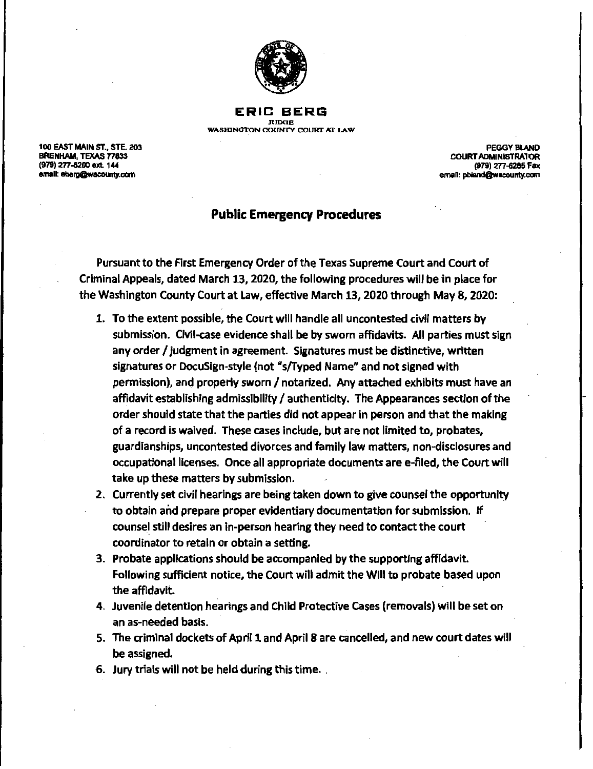

**ERIC BERG JUDOB**  WASHINGTON COUNTY COURT AT LAW

100 EAST MAIN ST., STE 203 BRENHAM, TEXAS 77833 (979) 277-6200 ext 144 email: eberg@wacounty.com

PEGGY BLAND COURT ADMINISTRATOR (979) 277-8285 Fax eman: pbland@wacounty.com

## **Public Emergency Procedures**

Pursuant to the First Emergency Order of the Texas Supreme Court and Court of Criminal Appeals, dated March 13, 2020, the following procedures will be in place for the Washington County Court at Law, effective March 13, 2020 through May 8, 2020:

- 1. To the extent possible, the Court will handle all uncontested civil matters by submission. Civil-case evidence shall be by sworn affidavits. All parties must sign any order/ judgment in agreement. Signatures must be distinctive, written signatures or DocuSlgn-style (not "s/Typed Name" and not signed with permission), and properly sworn/ notarized. Any attached exhibits must have an affidavit establishing admissibility/ authenticity. The Appearances section of the order should state that the parties did not appear in person and that the making of a record is **waived.** These cases include, but are not limited to, probates, guardianships, uncontested divorces and family law matters, non-disclosures and occupational licenses. Once all appropriate documents are e-filed, the Court will take up these matters by submission.
- 2. Currently set civil hearings are being taken down to **give** counsel the opportunity to obtain and prepare proper evidentiary documentation for submission. If counsel still desires an in-person hearing they need to contact the court coordinator to retain or obtain a setting.
- 3. Probate applications should be accompanied by the supporting affidavit. Following sufficient notice, the Court will admit the Will to probate based upon the affidavit.
- 4. Juvenile detention hearings and Child Protective cases (removals) will be set on an as-needed basis.
- 5. The criminal dockets of April 1 and April 8 are cancelled, and new court dates will be assigned.
- 6. Jury trials will not be held during this time.